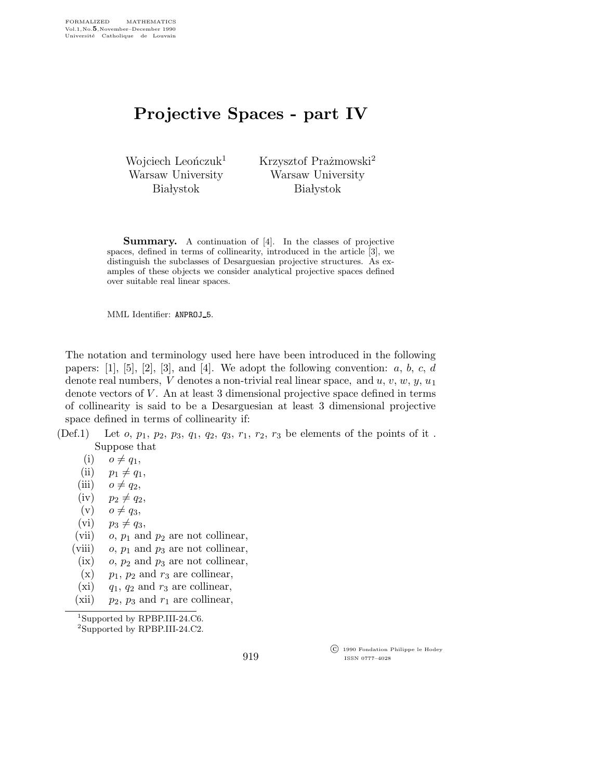## Projective Spaces - part IV

Wojciech Leonczuk<sup>1</sup> Warsaw University **Białystok** 

Krzysztof Prażmowski<sup>2</sup> Warsaw University **Białystok** 

Summary. A continuation of [4]. In the classes of projective spaces, defined in terms of collinearity, introduced in the article [3], we distinguish the subclasses of Desarguesian projective structures. As examples of these objects we consider analytical projective spaces defined over suitable real linear spaces.

MML Identifier: ANPROJ 5.

The notation and terminology used here have been introduced in the following papers:  $[1], [5], [2], [3],$  and  $[4].$  We adopt the following convention:  $a, b, c, d$ denote real numbers,  $V$  denotes a non-trivial real linear space, and  $u, v, w, y, u_1$ denote vectors of V . An at least 3 dimensional projective space defined in terms of collinearity is said to be a Desarguesian at least 3 dimensional projective space defined in terms of collinearity if:

- (Def.1) Let  $o, p_1, p_2, p_3, q_1, q_2, q_3, r_1, r_2, r_3$  be elements of the points of it. Suppose that
	- $(i)$   $o \neq q_1$ ,
	- (ii)  $p_1 \neq q_1$ ,
	- (iii)  $o \neq q_2$ ,
	- $(iv)$   $p_2 \neq q_2$ ,
	- $(v)$   $o \neq q_3$ ,
	- (vi)  $p_3 \neq q_3$ ,
	- (vii)  $o, p_1$  and  $p_2$  are not collinear,
	- (viii)  $o, p_1$  and  $p_3$  are not collinear,
	- (ix)  $o, p_2$  and  $p_3$  are not collinear,
	- $(x)$  p<sub>1</sub>, p<sub>2</sub> and r<sub>3</sub> are collinear,
	- (xi)  $q_1$ ,  $q_2$  and  $r_3$  are collinear,
	- (xii)  $p_2$ ,  $p_3$  and  $r_1$  are collinear,

<sup>1</sup>Supported by RPBP.III-24.C6.

<sup>2</sup>Supported by RPBP.III-24.C2.

 c 1990 Fondation Philippe le Hodey ISSN 0777–4028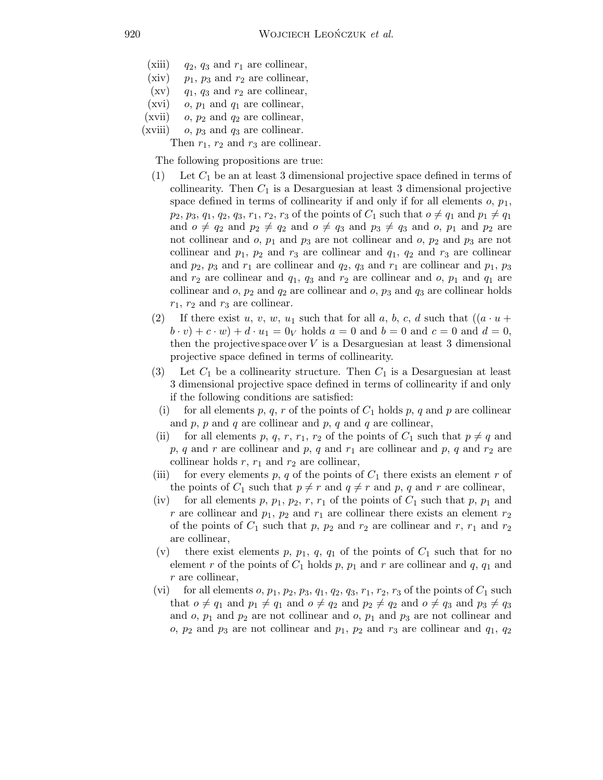- (xiii)  $q_2$ ,  $q_3$  and  $r_1$  are collinear,
- (xiv)  $p_1$ ,  $p_3$  and  $r_2$  are collinear,
- $(xv)$  q<sub>1</sub>, q<sub>3</sub> and  $r_2$  are collinear,
- (xvi)  $o, p_1$  and  $q_1$  are collinear,
- (xvii) o,  $p_2$  and  $q_2$  are collinear,
- (xviii) o,  $p_3$  and  $q_3$  are collinear.

Then  $r_1$ ,  $r_2$  and  $r_3$  are collinear.

The following propositions are true:

- $(1)$  Let  $C_1$  be an at least 3 dimensional projective space defined in terms of collinearity. Then  $C_1$  is a Desarguesian at least 3 dimensional projective space defined in terms of collinearity if and only if for all elements  $o, p_1$ ,  $p_2, p_3, q_1, q_2, q_3, r_1, r_2, r_3$  of the points of  $C_1$  such that  $o \neq q_1$  and  $p_1 \neq q_1$ and  $o \neq q_2$  and  $p_2 \neq q_2$  and  $o \neq q_3$  and  $p_3 \neq q_3$  and  $o, p_1$  and  $p_2$  are not collinear and  $o$ ,  $p_1$  and  $p_3$  are not collinear and  $o$ ,  $p_2$  and  $p_3$  are not collinear and  $p_1$ ,  $p_2$  and  $r_3$  are collinear and  $q_1$ ,  $q_2$  and  $r_3$  are collinear and  $p_2$ ,  $p_3$  and  $r_1$  are collinear and  $q_2$ ,  $q_3$  and  $r_1$  are collinear and  $p_1$ ,  $p_3$ and  $r_2$  are collinear and  $q_1$ ,  $q_3$  and  $r_2$  are collinear and  $o$ ,  $p_1$  and  $q_1$  are collinear and  $o$ ,  $p_2$  and  $q_2$  are collinear and  $o$ ,  $p_3$  and  $q_3$  are collinear holds  $r_1$ ,  $r_2$  and  $r_3$  are collinear.
- (2) If there exist u, v, w, u<sub>1</sub> such that for all a, b, c, d such that  $((a \cdot u +$  $(b \cdot v) + c \cdot w + d \cdot u_1 = 0_V$  holds  $a = 0$  and  $b = 0$  and  $c = 0$  and  $d = 0$ , then the projective space over  $V$  is a Desarguesian at least 3 dimensional projective space defined in terms of collinearity.
- (3) Let  $C_1$  be a collinearity structure. Then  $C_1$  is a Desarguesian at least 3 dimensional projective space defined in terms of collinearity if and only if the following conditions are satisfied:
	- (i) for all elements p, q, r of the points of  $C_1$  holds p, q and p are collinear and  $p$ ,  $p$  and  $q$  are collinear and  $p$ ,  $q$  and  $q$  are collinear,
- (ii) for all elements p, q, r,  $r_1$ ,  $r_2$  of the points of  $C_1$  such that  $p \neq q$  and  $p, q$  and r are collinear and p, q and  $r_1$  are collinear and p, q and  $r_2$  are collinear holds  $r, r_1$  and  $r_2$  are collinear,
- (iii) for every elements p, q of the points of  $C_1$  there exists an element r of the points of  $C_1$  such that  $p \neq r$  and  $q \neq r$  and p, q and r are collinear,
- (iv) for all elements p,  $p_1$ ,  $p_2$ , r,  $r_1$  of the points of  $C_1$  such that p,  $p_1$  and r are collinear and  $p_1$ ,  $p_2$  and  $r_1$  are collinear there exists an element  $r_2$ of the points of  $C_1$  such that p,  $p_2$  and  $r_2$  are collinear and r,  $r_1$  and  $r_2$ are collinear,
- (v) there exist elements p,  $p_1$ , q,  $q_1$  of the points of  $C_1$  such that for no element r of the points of  $C_1$  holds p,  $p_1$  and r are collinear and q,  $q_1$  and r are collinear,
- (vi) for all elements  $o, p_1, p_2, p_3, q_1, q_2, q_3, r_1, r_2, r_3$  of the points of  $C_1$  such that  $o \neq q_1$  and  $p_1 \neq q_1$  and  $o \neq q_2$  and  $p_2 \neq q_2$  and  $o \neq q_3$  and  $p_3 \neq q_3$ and  $o, p_1$  and  $p_2$  are not collinear and  $o, p_1$  and  $p_3$  are not collinear and o,  $p_2$  and  $p_3$  are not collinear and  $p_1$ ,  $p_2$  and  $r_3$  are collinear and  $q_1$ ,  $q_2$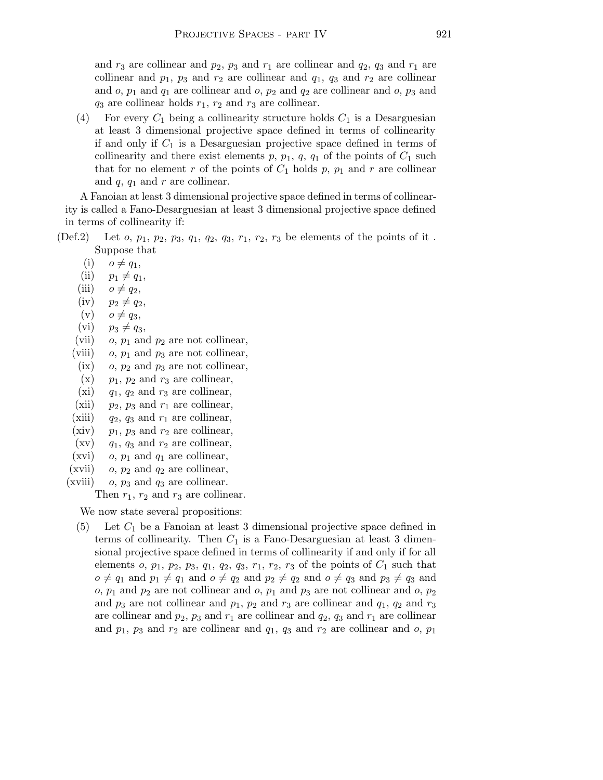and  $r_3$  are collinear and  $p_2$ ,  $p_3$  and  $r_1$  are collinear and  $q_2$ ,  $q_3$  and  $r_1$  are collinear and  $p_1$ ,  $p_3$  and  $r_2$  are collinear and  $q_1$ ,  $q_3$  and  $r_2$  are collinear and  $o, p_1$  and  $q_1$  are collinear and  $o, p_2$  and  $q_2$  are collinear and  $o, p_3$  and  $q_3$  are collinear holds  $r_1$ ,  $r_2$  and  $r_3$  are collinear.

(4) For every  $C_1$  being a collinearity structure holds  $C_1$  is a Desarguesian at least 3 dimensional projective space defined in terms of collinearity if and only if  $C_1$  is a Desarguesian projective space defined in terms of collinearity and there exist elements  $p, p_1, q, q_1$  of the points of  $C_1$  such that for no element r of the points of  $C_1$  holds p,  $p_1$  and r are collinear and  $q$ ,  $q_1$  and  $r$  are collinear.

A Fanoian at least 3 dimensional projective space defined in terms of collinearity is called a Fano-Desarguesian at least 3 dimensional projective space defined in terms of collinearity if:

- (Def.2) Let  $o, p_1, p_2, p_3, q_1, q_2, q_3, r_1, r_2, r_3$  be elements of the points of it. Suppose that
	- $(i)$   $o \neq q_1$ ,
	- (ii)  $p_1 \neq q_1$ ,
	- (iii)  $o \neq q_2$ ,
	- $(iv)$   $p_2 \neq q_2$ ,
	- $(v)$   $o \neq q_3$ ,
	- (vi)  $p_3 \neq q_3$ ,
	- (vii)  $o, p_1$  and  $p_2$  are not collinear,
	- (viii) o,  $p_1$  and  $p_3$  are not collinear,
	- (ix)  $o, p_2$  and  $p_3$  are not collinear,
	- $(x)$  p<sub>1</sub>, p<sub>2</sub> and r<sub>3</sub> are collinear,
	- (xi)  $q_1$ ,  $q_2$  and  $r_3$  are collinear,
	- (xii)  $p_2$ ,  $p_3$  and  $r_1$  are collinear,
	- (xiii)  $q_2$ ,  $q_3$  and  $r_1$  are collinear,
	- (xiv)  $p_1$ ,  $p_3$  and  $r_2$  are collinear,
	- $(xv)$  q<sub>1</sub>, q<sub>3</sub> and  $r_2$  are collinear,
	- (xvi) o,  $p_1$  and  $q_1$  are collinear,
	- (xvii) o,  $p_2$  and  $q_2$  are collinear,
	- (xviii)  $o, p_3$  and  $q_3$  are collinear.

Then  $r_1$ ,  $r_2$  and  $r_3$  are collinear.

We now state several propositions:

 $(5)$  Let  $C_1$  be a Fanoian at least 3 dimensional projective space defined in terms of collinearity. Then  $C_1$  is a Fano-Desarguesian at least 3 dimensional projective space defined in terms of collinearity if and only if for all elements o,  $p_1$ ,  $p_2$ ,  $p_3$ ,  $q_1$ ,  $q_2$ ,  $q_3$ ,  $r_1$ ,  $r_2$ ,  $r_3$  of the points of  $C_1$  such that  $o \neq q_1$  and  $p_1 \neq q_1$  and  $o \neq q_2$  and  $p_2 \neq q_2$  and  $o \neq q_3$  and  $p_3 \neq q_3$  and o,  $p_1$  and  $p_2$  are not collinear and o,  $p_1$  and  $p_3$  are not collinear and o,  $p_2$ and  $p_3$  are not collinear and  $p_1$ ,  $p_2$  and  $r_3$  are collinear and  $q_1$ ,  $q_2$  and  $r_3$ are collinear and  $p_2$ ,  $p_3$  and  $r_1$  are collinear and  $q_2$ ,  $q_3$  and  $r_1$  are collinear and  $p_1$ ,  $p_3$  and  $r_2$  are collinear and  $q_1$ ,  $q_3$  and  $r_2$  are collinear and  $o$ ,  $p_1$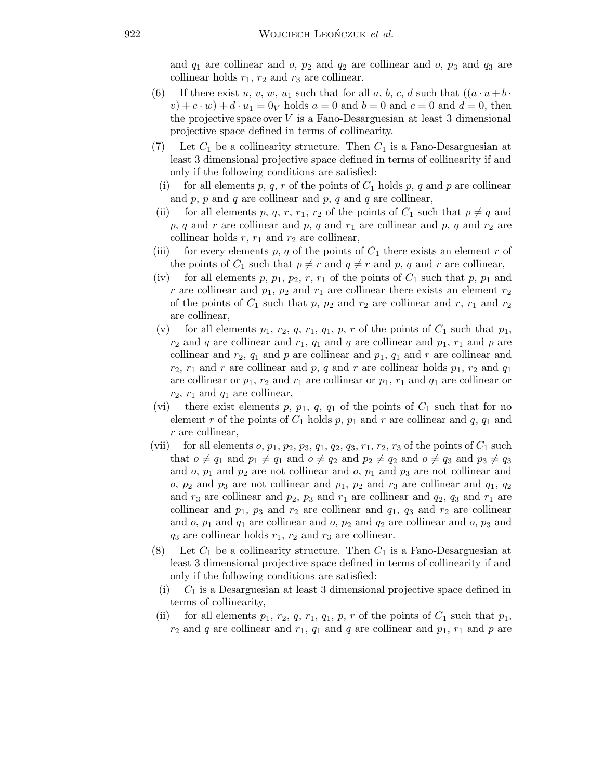and  $q_1$  are collinear and o,  $p_2$  and  $q_2$  are collinear and o,  $p_3$  and  $q_3$  are collinear holds  $r_1$ ,  $r_2$  and  $r_3$  are collinear.

- (6) If there exist u, v, w, u<sub>1</sub> such that for all a, b, c, d such that  $((a \cdot u + b \cdot$  $(v) + c \cdot w + d \cdot u_1 = 0_V$  holds  $a = 0$  and  $b = 0$  and  $c = 0$  and  $d = 0$ , then the projective space over  $V$  is a Fano-Desarguesian at least 3 dimensional projective space defined in terms of collinearity.
- (7) Let  $C_1$  be a collinearity structure. Then  $C_1$  is a Fano-Desarguesian at least 3 dimensional projective space defined in terms of collinearity if and only if the following conditions are satisfied:
	- (i) for all elements p, q, r of the points of  $C_1$  holds p, q and p are collinear and  $p$ ,  $p$  and  $q$  are collinear and  $p$ ,  $q$  and  $q$  are collinear,
- (ii) for all elements p, q, r, r<sub>1</sub>, r<sub>2</sub> of the points of  $C_1$  such that  $p \neq q$  and p, q and r are collinear and p, q and  $r_1$  are collinear and p, q and  $r_2$  are collinear holds  $r, r_1$  and  $r_2$  are collinear,
- (iii) for every elements p, q of the points of  $C_1$  there exists an element r of the points of  $C_1$  such that  $p \neq r$  and  $q \neq r$  and p, q and r are collinear,
- (iv) for all elements p,  $p_1$ ,  $p_2$ , r,  $r_1$  of the points of  $C_1$  such that p,  $p_1$  and r are collinear and  $p_1$ ,  $p_2$  and  $r_1$  are collinear there exists an element  $r_2$ of the points of  $C_1$  such that p,  $p_2$  and  $r_2$  are collinear and r,  $r_1$  and  $r_2$ are collinear,
- (v) for all elements  $p_1, r_2, q, r_1, q_1, p, r$  of the points of  $C_1$  such that  $p_1$ ,  $r_2$  and q are collinear and  $r_1$ ,  $q_1$  and q are collinear and  $p_1$ ,  $r_1$  and p are collinear and  $r_2$ ,  $q_1$  and p are collinear and  $p_1$ ,  $q_1$  and r are collinear and  $r_2$ ,  $r_1$  and r are collinear and p, q and r are collinear holds  $p_1$ ,  $r_2$  and  $q_1$ are collinear or  $p_1, r_2$  and  $r_1$  are collinear or  $p_1, r_1$  and  $q_1$  are collinear or  $r_2$ ,  $r_1$  and  $q_1$  are collinear,
- (vi) there exist elements p,  $p_1$ , q,  $q_1$  of the points of  $C_1$  such that for no element r of the points of  $C_1$  holds p,  $p_1$  and r are collinear and q,  $q_1$  and r are collinear,
- (vii) for all elements  $o, p_1, p_2, p_3, q_1, q_2, q_3, r_1, r_2, r_3$  of the points of  $C_1$  such that  $o \neq q_1$  and  $p_1 \neq q_1$  and  $o \neq q_2$  and  $p_2 \neq q_2$  and  $o \neq q_3$  and  $p_3 \neq q_3$ and  $o, p_1$  and  $p_2$  are not collinear and  $o, p_1$  and  $p_3$  are not collinear and o,  $p_2$  and  $p_3$  are not collinear and  $p_1$ ,  $p_2$  and  $r_3$  are collinear and  $q_1$ ,  $q_2$ and  $r_3$  are collinear and  $p_2$ ,  $p_3$  and  $r_1$  are collinear and  $q_2$ ,  $q_3$  and  $r_1$  are collinear and  $p_1$ ,  $p_3$  and  $r_2$  are collinear and  $q_1$ ,  $q_3$  and  $r_2$  are collinear and  $o, p_1$  and  $q_1$  are collinear and  $o, p_2$  and  $q_2$  are collinear and  $o, p_3$  and  $q_3$  are collinear holds  $r_1$ ,  $r_2$  and  $r_3$  are collinear.
- (8) Let  $C_1$  be a collinearity structure. Then  $C_1$  is a Fano-Desarguesian at least 3 dimensional projective space defined in terms of collinearity if and only if the following conditions are satisfied:
	- (i)  $C_1$  is a Desarguesian at least 3 dimensional projective space defined in terms of collinearity,
- (ii) for all elements  $p_1, r_2, q, r_1, q_1, p, r$  of the points of  $C_1$  such that  $p_1$ ,  $r_2$  and q are collinear and  $r_1$ ,  $q_1$  and q are collinear and  $p_1$ ,  $r_1$  and p are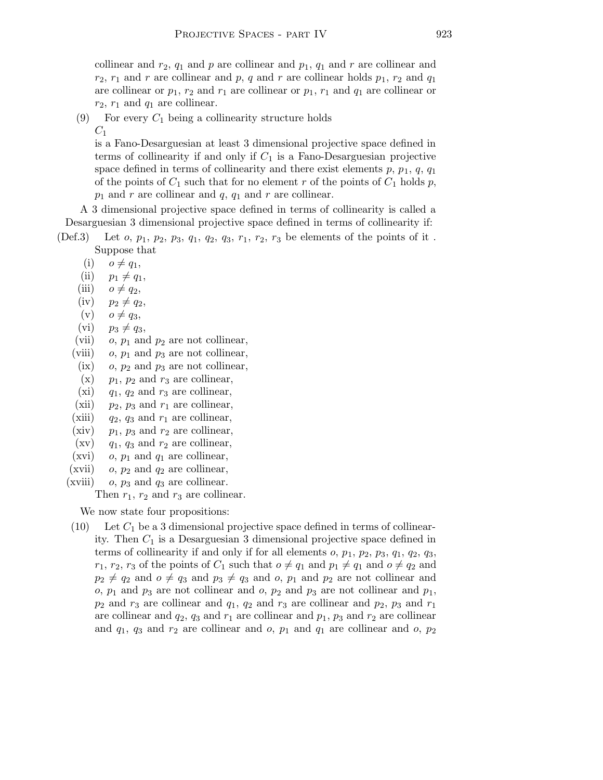collinear and  $r_2$ ,  $q_1$  and p are collinear and  $p_1$ ,  $q_1$  and r are collinear and  $r_2$ ,  $r_1$  and r are collinear and p, q and r are collinear holds  $p_1$ ,  $r_2$  and  $q_1$ are collinear or  $p_1, r_2$  and  $r_1$  are collinear or  $p_1, r_1$  and  $q_1$  are collinear or  $r_2$ ,  $r_1$  and  $q_1$  are collinear.

(9) For every  $C_1$  being a collinearity structure holds

 $C_1$ 

is a Fano-Desarguesian at least 3 dimensional projective space defined in terms of collinearity if and only if  $C_1$  is a Fano-Desarguesian projective space defined in terms of collinearity and there exist elements  $p, p_1, q, q_1$ of the points of  $C_1$  such that for no element r of the points of  $C_1$  holds p,  $p_1$  and r are collinear and  $q$ ,  $q_1$  and r are collinear.

A 3 dimensional projective space defined in terms of collinearity is called a Desarguesian 3 dimensional projective space defined in terms of collinearity if:

- (Def.3) Let  $o, p_1, p_2, p_3, q_1, q_2, q_3, r_1, r_2, r_3$  be elements of the points of it. Suppose that
	- $(i)$   $o \neq q_1$ ,
	- (ii)  $p_1 \neq q_1$ ,
	- (iii)  $o \neq q_2$ ,
	- $(iv)$   $p_2 \neq q_2$ ,
	- $(v)$   $o \neq q_3$ ,
	- (vi)  $p_3 \neq q_3$ ,
	- (vii)  $o, p_1$  and  $p_2$  are not collinear,
	- (viii) o,  $p_1$  and  $p_3$  are not collinear,
	- (ix) o,  $p_2$  and  $p_3$  are not collinear,
	- $(x)$  p<sub>1</sub>, p<sub>2</sub> and r<sub>3</sub> are collinear,
	- (xi)  $q_1$ ,  $q_2$  and  $r_3$  are collinear,
	- (xii)  $p_2$ ,  $p_3$  and  $r_1$  are collinear,
	- (xiii)  $q_2$ ,  $q_3$  and  $r_1$  are collinear,
	- (xiv)  $p_1$ ,  $p_3$  and  $r_2$  are collinear,
	- $(xv)$  q<sub>1</sub>, q<sub>3</sub> and  $r_2$  are collinear,
	- (xvi) o,  $p_1$  and  $q_1$  are collinear,
	- (xvii) o,  $p_2$  and  $q_2$  are collinear,
	- (xviii) o,  $p_3$  and  $q_3$  are collinear.

Then  $r_1$ ,  $r_2$  and  $r_3$  are collinear.

We now state four propositions:

(10) Let  $C_1$  be a 3 dimensional projective space defined in terms of collinearity. Then  $C_1$  is a Desarguesian 3 dimensional projective space defined in terms of collinearity if and only if for all elements  $o, p_1, p_2, p_3, q_1, q_2, q_3$ ,  $r_1, r_2, r_3$  of the points of  $C_1$  such that  $o \neq q_1$  and  $p_1 \neq q_1$  and  $o \neq q_2$  and  $p_2 \neq q_2$  and  $o \neq q_3$  and  $p_3 \neq q_3$  and  $o, p_1$  and  $p_2$  are not collinear and o,  $p_1$  and  $p_3$  are not collinear and o,  $p_2$  and  $p_3$  are not collinear and  $p_1$ ,  $p_2$  and  $r_3$  are collinear and  $q_1$ ,  $q_2$  and  $r_3$  are collinear and  $p_2$ ,  $p_3$  and  $r_1$ are collinear and  $q_2$ ,  $q_3$  and  $r_1$  are collinear and  $p_1$ ,  $p_3$  and  $r_2$  are collinear and  $q_1$ ,  $q_3$  and  $r_2$  are collinear and o,  $p_1$  and  $q_1$  are collinear and o,  $p_2$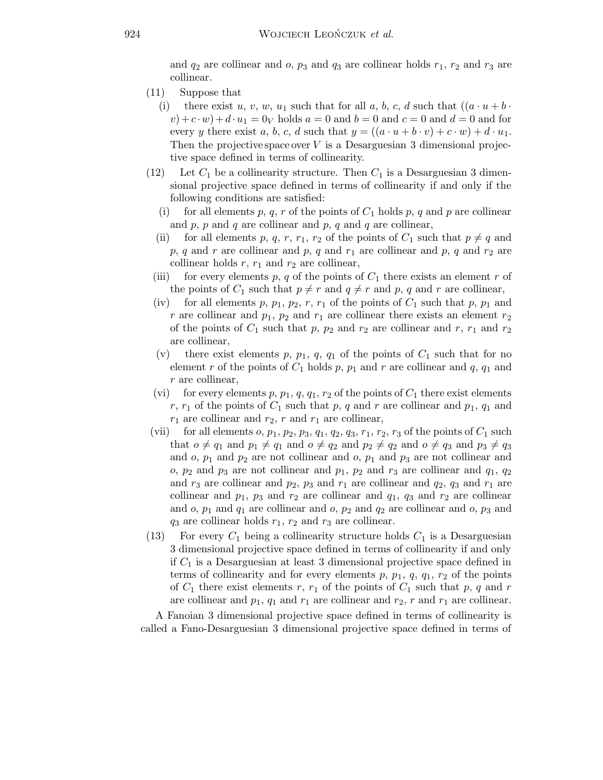and  $q_2$  are collinear and  $o$ ,  $p_3$  and  $q_3$  are collinear holds  $r_1$ ,  $r_2$  and  $r_3$  are collinear.

- (11) Suppose that
	- (i) there exist u, v, w, u<sub>1</sub> such that for all a, b, c, d such that  $((a \cdot u + b \cdot u))$  $(v)+c \cdot w$  +  $d \cdot u_1 = 0_V$  holds  $a = 0$  and  $b = 0$  and  $c = 0$  and  $d = 0$  and for every y there exist a, b, c, d such that  $y = ((a \cdot u + b \cdot v) + c \cdot w) + d \cdot u_1$ . Then the projective space over  $V$  is a Desarguesian 3 dimensional projective space defined in terms of collinearity.
- (12) Let  $C_1$  be a collinearity structure. Then  $C_1$  is a Desarguesian 3 dimensional projective space defined in terms of collinearity if and only if the following conditions are satisfied:
	- (i) for all elements p, q, r of the points of  $C_1$  holds p, q and p are collinear and  $p, p$  and  $q$  are collinear and  $p, q$  and  $q$  are collinear,
	- (ii) for all elements p, q, r, r<sub>1</sub>, r<sub>2</sub> of the points of  $C_1$  such that  $p \neq q$  and p, q and r are collinear and p, q and  $r_1$  are collinear and p, q and  $r_2$  are collinear holds  $r, r_1$  and  $r_2$  are collinear,
- (iii) for every elements p, q of the points of  $C_1$  there exists an element r of the points of  $C_1$  such that  $p \neq r$  and  $q \neq r$  and p, q and r are collinear,
- (iv) for all elements p,  $p_1$ ,  $p_2$ , r,  $r_1$  of the points of  $C_1$  such that p,  $p_1$  and r are collinear and  $p_1$ ,  $p_2$  and  $r_1$  are collinear there exists an element  $r_2$ of the points of  $C_1$  such that p,  $p_2$  and  $r_2$  are collinear and r,  $r_1$  and  $r_2$ are collinear,
- (v) there exist elements p,  $p_1$ , q,  $q_1$  of the points of  $C_1$  such that for no element r of the points of  $C_1$  holds p,  $p_1$  and r are collinear and q,  $q_1$  and r are collinear,
- (vi) for every elements p,  $p_1$ ,  $q$ ,  $q_1$ ,  $r_2$  of the points of  $C_1$  there exist elements r,  $r_1$  of the points of  $C_1$  such that p, q and r are collinear and  $p_1$ ,  $q_1$  and  $r_1$  are collinear and  $r_2$ , r and  $r_1$  are collinear,
- (vii) for all elements  $o, p_1, p_2, p_3, q_1, q_2, q_3, r_1, r_2, r_3$  of the points of  $C_1$  such that  $o \neq q_1$  and  $p_1 \neq q_1$  and  $o \neq q_2$  and  $p_2 \neq q_2$  and  $o \neq q_3$  and  $p_3 \neq q_3$ and  $o, p_1$  and  $p_2$  are not collinear and  $o, p_1$  and  $p_3$  are not collinear and o,  $p_2$  and  $p_3$  are not collinear and  $p_1$ ,  $p_2$  and  $r_3$  are collinear and  $q_1$ ,  $q_2$ and  $r_3$  are collinear and  $p_2$ ,  $p_3$  and  $r_1$  are collinear and  $q_2$ ,  $q_3$  and  $r_1$  are collinear and  $p_1$ ,  $p_3$  and  $r_2$  are collinear and  $q_1$ ,  $q_3$  and  $r_2$  are collinear and  $o, p_1$  and  $q_1$  are collinear and  $o, p_2$  and  $q_2$  are collinear and  $o, p_3$  and  $q_3$  are collinear holds  $r_1$ ,  $r_2$  and  $r_3$  are collinear.
- (13) For every  $C_1$  being a collinearity structure holds  $C_1$  is a Desarguesian 3 dimensional projective space defined in terms of collinearity if and only if  $C_1$  is a Desarguesian at least 3 dimensional projective space defined in terms of collinearity and for every elements  $p, p_1, q, q_1, r_2$  of the points of  $C_1$  there exist elements r,  $r_1$  of the points of  $C_1$  such that p, q and r are collinear and  $p_1$ ,  $q_1$  and  $r_1$  are collinear and  $r_2$ ,  $r$  and  $r_1$  are collinear.

A Fanoian 3 dimensional projective space defined in terms of collinearity is called a Fano-Desarguesian 3 dimensional projective space defined in terms of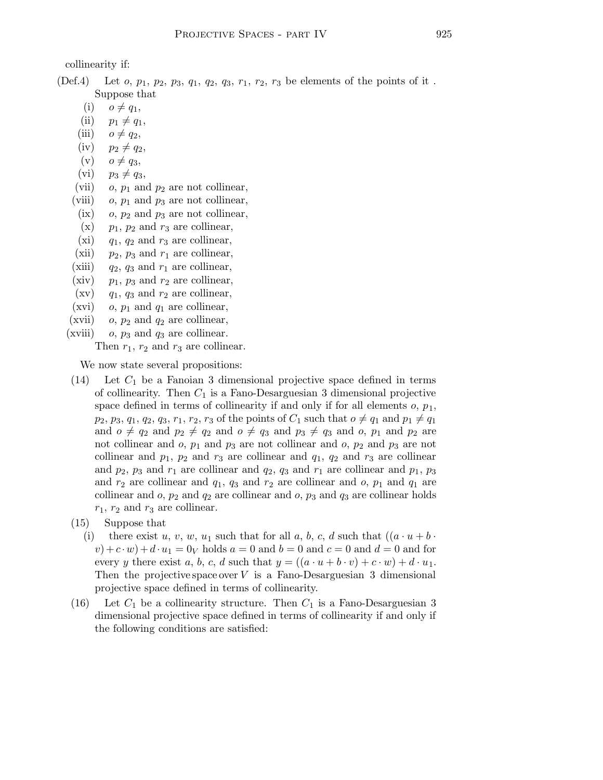collinearity if:

(Def.4) Let  $o, p_1, p_2, p_3, q_1, q_2, q_3, r_1, r_2, r_3$  be elements of the points of it. Suppose that

 $(i)$   $o \neq q_1$ ,

- (ii)  $p_1 \neq q_1$ ,
- (iii)  $o \neq q_2$ ,
- $(iv)$   $p_2 \neq q_2$ ,
- $(v)$   $o \neq q_3$ ,
- (vi)  $p_3 \neq q_3$ ,
- (vii)  $o, p_1$  and  $p_2$  are not collinear,
- (viii) o,  $p_1$  and  $p_3$  are not collinear,
- (ix) o,  $p_2$  and  $p_3$  are not collinear,
- $(x)$  p<sub>1</sub>, p<sub>2</sub> and r<sub>3</sub> are collinear,
- (xi)  $q_1$ ,  $q_2$  and  $r_3$  are collinear,
- (xii)  $p_2$ ,  $p_3$  and  $r_1$  are collinear,
- (xiii)  $q_2$ ,  $q_3$  and  $r_1$  are collinear,
- (xiv)  $p_1$ ,  $p_3$  and  $r_2$  are collinear,
- $(xv)$  q<sub>1</sub>, q<sub>3</sub> and  $r_2$  are collinear,
- (xvi) o,  $p_1$  and  $q_1$  are collinear,
- (xvii) o,  $p_2$  and  $q_2$  are collinear,
- (xviii) o,  $p_3$  and  $q_3$  are collinear.

Then  $r_1$ ,  $r_2$  and  $r_3$  are collinear.

We now state several propositions:

- $(14)$  Let  $C_1$  be a Fanoian 3 dimensional projective space defined in terms of collinearity. Then  $C_1$  is a Fano-Desarguesian 3 dimensional projective space defined in terms of collinearity if and only if for all elements  $o, p_1$ ,  $p_2, p_3, q_1, q_2, q_3, r_1, r_2, r_3$  of the points of  $C_1$  such that  $o \neq q_1$  and  $p_1 \neq q_1$ and  $o \neq q_2$  and  $p_2 \neq q_2$  and  $o \neq q_3$  and  $p_3 \neq q_3$  and  $o, p_1$  and  $p_2$  are not collinear and  $o$ ,  $p_1$  and  $p_3$  are not collinear and  $o$ ,  $p_2$  and  $p_3$  are not collinear and  $p_1$ ,  $p_2$  and  $r_3$  are collinear and  $q_1$ ,  $q_2$  and  $r_3$  are collinear and  $p_2$ ,  $p_3$  and  $r_1$  are collinear and  $q_2$ ,  $q_3$  and  $r_1$  are collinear and  $p_1$ ,  $p_3$ and  $r_2$  are collinear and  $q_1$ ,  $q_3$  and  $r_2$  are collinear and  $o$ ,  $p_1$  and  $q_1$  are collinear and  $o$ ,  $p_2$  and  $q_2$  are collinear and  $o$ ,  $p_3$  and  $q_3$  are collinear holds  $r_1$ ,  $r_2$  and  $r_3$  are collinear.
- (15) Suppose that
	- (i) there exist u, v, w, u<sub>1</sub> such that for all a, b, c, d such that  $((a \cdot u + b \cdot$  $(v)+c \cdot w$  +  $d \cdot u_1 = 0_V$  holds  $a = 0$  and  $b = 0$  and  $c = 0$  and  $d = 0$  and for every y there exist a, b, c, d such that  $y = ((a \cdot u + b \cdot v) + c \cdot w) + d \cdot u_1$ . Then the projective space over  $V$  is a Fano-Desarguesian 3 dimensional projective space defined in terms of collinearity.
- (16) Let  $C_1$  be a collinearity structure. Then  $C_1$  is a Fano-Desarguesian 3 dimensional projective space defined in terms of collinearity if and only if the following conditions are satisfied: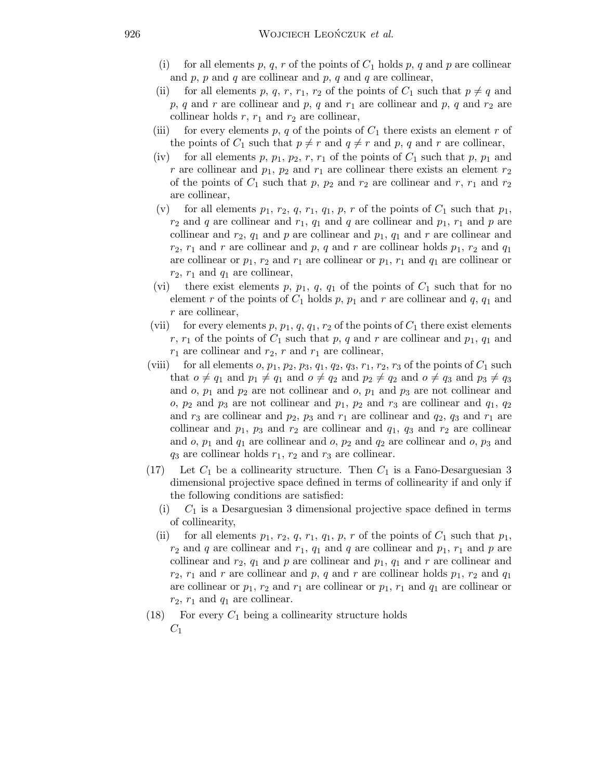- for all elements p, q, r of the points of  $C_1$  holds p, q and p are collinear and  $p$ ,  $p$  and  $q$  are collinear and  $p$ ,  $q$  and  $q$  are collinear,
- (ii) for all elements p, q, r, r<sub>1</sub>, r<sub>2</sub> of the points of  $C_1$  such that  $p \neq q$  and p, q and r are collinear and p, q and  $r_1$  are collinear and p, q and  $r_2$  are collinear holds  $r, r_1$  and  $r_2$  are collinear,
- (iii) for every elements p, q of the points of  $C_1$  there exists an element r of the points of  $C_1$  such that  $p \neq r$  and  $q \neq r$  and p, q and r are collinear,
- (iv) for all elements p,  $p_1$ ,  $p_2$ , r,  $r_1$  of the points of  $C_1$  such that p,  $p_1$  and r are collinear and  $p_1$ ,  $p_2$  and  $r_1$  are collinear there exists an element  $r_2$ of the points of  $C_1$  such that p,  $p_2$  and  $r_2$  are collinear and r,  $r_1$  and  $r_2$ are collinear,
- (v) for all elements  $p_1, r_2, q, r_1, q_1, p, r$  of the points of  $C_1$  such that  $p_1$ ,  $r_2$  and q are collinear and  $r_1$ ,  $q_1$  and q are collinear and  $p_1$ ,  $r_1$  and p are collinear and  $r_2$ ,  $q_1$  and p are collinear and  $p_1$ ,  $q_1$  and r are collinear and  $r_2$ ,  $r_1$  and r are collinear and p, q and r are collinear holds  $p_1$ ,  $r_2$  and  $q_1$ are collinear or  $p_1, r_2$  and  $r_1$  are collinear or  $p_1, r_1$  and  $q_1$  are collinear or  $r_2$ ,  $r_1$  and  $q_1$  are collinear,
- (vi) there exist elements p,  $p_1$ ,  $q$ ,  $q_1$  of the points of  $C_1$  such that for no element r of the points of  $C_1$  holds p,  $p_1$  and r are collinear and q,  $q_1$  and r are collinear,
- (vii) for every elements p,  $p_1$ ,  $q$ ,  $q_1$ ,  $r_2$  of the points of  $C_1$  there exist elements r,  $r_1$  of the points of  $C_1$  such that p, q and r are collinear and  $p_1$ ,  $q_1$  and  $r_1$  are collinear and  $r_2$ , r and  $r_1$  are collinear,
- (viii) for all elements  $o, p_1, p_2, p_3, q_1, q_2, q_3, r_1, r_2, r_3$  of the points of  $C_1$  such that  $o \neq q_1$  and  $p_1 \neq q_1$  and  $o \neq q_2$  and  $p_2 \neq q_2$  and  $o \neq q_3$  and  $p_3 \neq q_3$ and  $o, p_1$  and  $p_2$  are not collinear and  $o, p_1$  and  $p_3$  are not collinear and o,  $p_2$  and  $p_3$  are not collinear and  $p_1$ ,  $p_2$  and  $r_3$  are collinear and  $q_1$ ,  $q_2$ and  $r_3$  are collinear and  $p_2$ ,  $p_3$  and  $r_1$  are collinear and  $q_2$ ,  $q_3$  and  $r_1$  are collinear and  $p_1$ ,  $p_3$  and  $r_2$  are collinear and  $q_1$ ,  $q_3$  and  $r_2$  are collinear and  $o, p_1$  and  $q_1$  are collinear and  $o, p_2$  and  $q_2$  are collinear and  $o, p_3$  and  $q_3$  are collinear holds  $r_1$ ,  $r_2$  and  $r_3$  are collinear.
- (17) Let  $C_1$  be a collinearity structure. Then  $C_1$  is a Fano-Desarguesian 3 dimensional projective space defined in terms of collinearity if and only if the following conditions are satisfied:
	- (i)  $C_1$  is a Desarguesian 3 dimensional projective space defined in terms of collinearity,
	- (ii) for all elements  $p_1, r_2, q, r_1, q_1, p, r$  of the points of  $C_1$  such that  $p_1$ ,  $r_2$  and q are collinear and  $r_1$ ,  $q_1$  and q are collinear and  $p_1$ ,  $r_1$  and  $p$  are collinear and  $r_2$ ,  $q_1$  and p are collinear and  $p_1$ ,  $q_1$  and r are collinear and  $r_2$ ,  $r_1$  and r are collinear and p, q and r are collinear holds  $p_1$ ,  $r_2$  and  $q_1$ are collinear or  $p_1, r_2$  and  $r_1$  are collinear or  $p_1, r_1$  and  $q_1$  are collinear or  $r_2$ ,  $r_1$  and  $q_1$  are collinear.
- (18) For every  $C_1$  being a collinearity structure holds  $C_1$